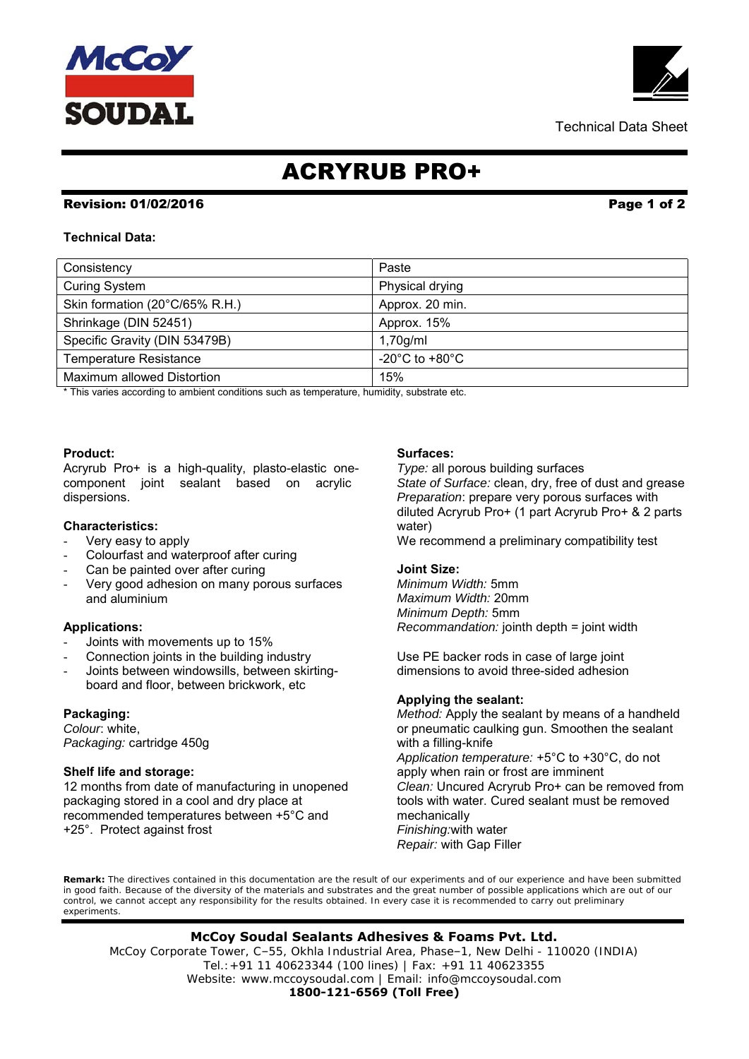# ACRYRUB PRO+

# Revision: 01/02/2016 **Page 1** of 2

**Technical Data:** 

Maximum allowed Distortion 15%

\* This varies according to ambient conditions such as temperature, humidity, substrate etc.

Curing System **Physical drying** Skin formation (20°C/65% R.H.) Approx. 20 min. Shrinkage (DIN 52451) Approx. 15% Specific Gravity (DIN 53479B) 1,70g/ml Temperature Resistance  $\vert$  -20°C to +80°C

Consistency **Paste** 

# **Product:**

Acryrub Pro+ is a high-quality, plasto-elastic onecomponent joint sealant based on acrylic dispersions.

## **Characteristics:**

- Very easy to apply
- Colourfast and waterproof after curing
- Can be painted over after curing
- Very good adhesion on many porous surfaces and aluminium

## **Applications:**

- Joints with movements up to 15%
- Connection joints in the building industry
- Joints between windowsills, between skirtingboard and floor, between brickwork, etc

## **Packaging:**

*Colour*: white, *Packaging:* cartridge 450g

## **Shelf life and storage:**

12 months from date of manufacturing in unopened packaging stored in a cool and dry place at recommended temperatures between +5°C and +25°. Protect against frost

#### **Surfaces:**

*Type:* all porous building surfaces *State of Surface:* clean, dry, free of dust and grease *Preparation*: prepare very porous surfaces with diluted Acryrub Pro+ (1 part Acryrub Pro+ & 2 parts water)

We recommend a preliminary compatibility test

#### **Joint Size:**

*Minimum Width:* 5mm *Maximum Width:* 20mm *Minimum Depth:* 5mm *Recommandation:* jointh depth = joint width

Use PE backer rods in case of large joint dimensions to avoid three-sided adhesion

#### **Applying the sealant:**

*Method:* Apply the sealant by means of a handheld or pneumatic caulking gun. Smoothen the sealant with a filling-knife *Application temperature:* +5°C to +30°C, do not apply when rain or frost are imminent *Clean:* Uncured Acryrub Pro+ can be removed from tools with water. Cured sealant must be removed mechanically *Finishing:*with water *Repair:* with Gap Filler

**Remark:** The directives contained in this documentation are the result of our experiments and of our experience and have been submitted in good faith. Because of the diversity of the materials and substrates and the great number of possible applications which are out of our control, we cannot accept any responsibility for the results obtained. In every case it is recommended to carry out preliminary experiments.

# **McCoy Soudal Sealants Adhesives & Foams Pvt. Ltd.**

McCoy Corporate Tower, C–55, Okhla Industrial Area, Phase–1, New Delhi - 110020 (INDIA) Tel.:+91 11 40623344 (100 lines) | Fax: +91 11 40623355 Website: www.mccoysoudal.com | Email: info@mccoysoudal.com

**1800-121-6569 (Toll Free)**

Technical Data Sheet